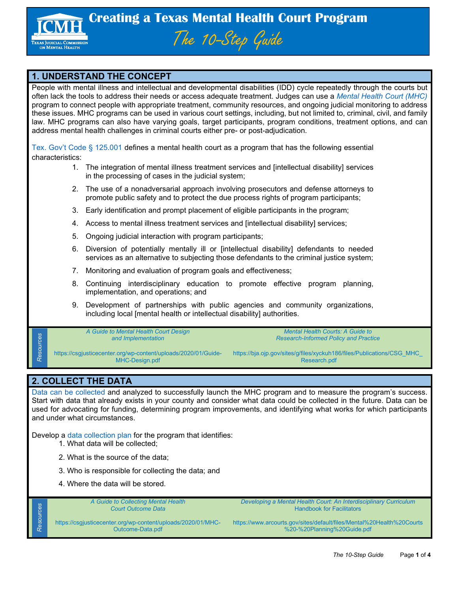

## **1. UNDERSTAND THE CONCEPT**

People with mental illness and intellectual and developmental disabilities (IDD) cycle repeatedly through the courts but often lack the tools to address their needs or access adequate treatment. Judges can use a *[Mental Health Court \(MHC\)](http://texasjcmh.gov/technical-assistance/mental-health-courts/)* program to connect people with appropriate treatment, community resources, and ongoing judicial monitoring to address these issues. MHC programs can be used in various court settings, including, but not limited to, criminal, civil, and family law. MHC programs can also have varying goals, target participants, program conditions, treatment options, and can address mental health challenges in criminal courts either pre- or post-adjudication.

[Tex. Gov't](https://statutes.capitol.texas.gov/Docs/GV/htm/GV.125.htm#:%7E:text=GOVERNMENT%20CODE%20CHAPTER%20125.,MENTAL%20HEALTH%20COURT%20PROGRAMS&text=(9)%20development%20of%20partnerships%20with,including%20local%20mental%20retardation%20authorities.) Code § 125.001 defines a mental health court as a program that has the following essential characteristics:

- 1. The integration of mental illness treatment services and [intellectual disability] services in the processing of cases in the judicial system;
- 2. The use of a nonadversarial approach involving prosecutors and defense attorneys to promote public safety and to protect the due process rights of program participants;
- 3. Early identification and prompt placement of eligible participants in the program;
- 4. Access to mental illness treatment services and [intellectual disability] services;
- 5. Ongoing judicial interaction with program participants;
- 6. Diversion of potentially mentally ill or [intellectual disability] defendants to needed services as an alternative to subjecting those defendants to the criminal justice system;
- 7. Monitoring and evaluation of program goals and effectiveness;
- 8. Continuing interdisciplinary education to promote effective program planning, implementation, and operations; and
- 9. Development of partnerships with public agencies and community organizations, including local [mental health or intellectual disability] authorities.

*[A Guide to Mental Health Court Design](https://csgjusticecenter.org/wp-content/uploads/2020/01/Guide-MHC-Design.pdf)  [and Implementation](https://csgjusticecenter.org/wp-content/uploads/2020/01/Guide-MHC-Design.pdf)*

*Mental [Health Courts: A Guide to](https://bja.ojp.gov/sites/g/files/xyckuh186/files/Publications/CSG_MHC_Research.pdf)  [Research-Informed Policy and Practice](https://bja.ojp.gov/sites/g/files/xyckuh186/files/Publications/CSG_MHC_Research.pdf)*

https://csgjusticecenter.org/wp-content/uploads/2020/01/Guide-MHC-Design.pdf

https://bja.ojp.gov/sites/g/files/xyckuh186/files/Publications/CSG\_MHC\_ Research.pdf

## **2. COLLECT THE DATA**

*Resources*

Resources

*Resources*

Resources

[Data can be collected](https://www.txcourts.gov/media/1443969/sb-1326-final.pdf) and analyzed to successfully launch the MHC program and to measure the program's success. Start with data that already exists in your county and consider what data could be collected in the future. Data can be used for advocating for funding, determining program improvements, and identifying what works for which participants and under what circumstances.

Develop a [data collection plan](https://www.courtinnovation.org/sites/default/files/documents/drugcourtdatasystem.pdf) for the program that identifies:

- 1. What data will be collected;
- 2. What is the source of the data;
- 3. Who is responsible for collecting the data; and
- 4. Where the data will be stored.

*[A Guide to Collecting Mental Health](https://csgjusticecenter.org/wp-content/uploads/2020/01/MHC-Outcome-Data.pdf)  [Court Outcome Data](https://csgjusticecenter.org/wp-content/uploads/2020/01/MHC-Outcome-Data.pdf)*

*[Developing a Mental Health Court: An Interdisciplinary Curriculum](https://www.arcourts.gov/sites/default/files/Mental%20Health%20Courts%20-%20Planning%20Guide.pdf)* [Handbook for Facilitators](https://www.arcourts.gov/sites/default/files/Mental%20Health%20Courts%20-%20Planning%20Guide.pdf)

https://csgjusticecenter.org/wp-content/uploads/2020/01/MHC-Outcome-Data.pdf

https://www.arcourts.gov/sites/default/files/Mental%20Health%20Courts %20-%20Planning%20Guide.pdf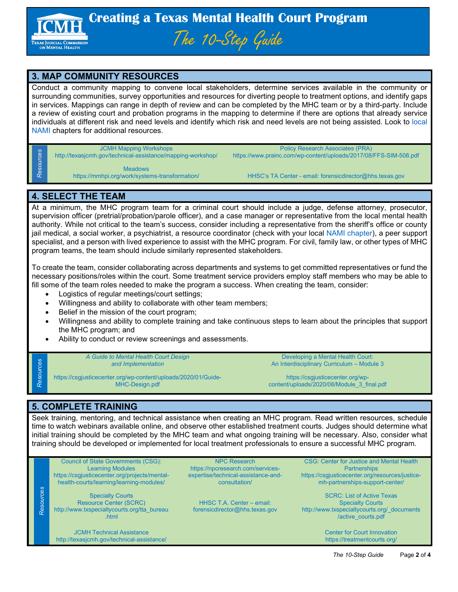

## **3. MAP COMMUNITY RESOURCES**

Conduct a community mapping to convene local stakeholders, determine services available in the community or surrounding communities, survey opportunities and resources for diverting people to treatment options, and identify gaps in services. Mappings can range in depth of review and can be completed by the MHC team or by a third-party. Include a review of existing court and probation programs in the mapping to determine if there are options that already service individuals at different risk and need levels and identify which risk and need levels are not being assisted. Look to [local](https://namitexas.org/)  [NAMI](https://namitexas.org/) chapters for additional resources.

#### [JCMH Mapping Workshops](http://texasjcmh.gov/technical-assistance/mapping-workshop/)

http://texasjcmh.gov/technical-assistance/mapping-workshop/

[Policy Research Associates \(PRA\)](https://www.prainc.com/wp-content/uploads/2017/08/FFS-SIM-508.pdf) https://www.prainc.com/wp-content/uploads/2017/08/FFS-SIM-508.pdf

[Meadows](https://mmhpi.org/work/systems-transformation/)<br>https://mmhpi.org/work/systems-transformation/

HHSC's TA Center - email: [forensicdirector@hhs.texas.gov](mailto:forensicdirector@hhs.texas.gov)

### **4. SELECT THE TEAM**

*Resources*

Resources

*Resources*

Resources

*Resources*

Resources

At a minimum, the MHC program team for a criminal court should include a judge, defense attorney, prosecutor, supervision officer (pretrial/probation/parole officer), and a case manager or representative from the local mental health authority. While not critical to the team's success, consider including a representative from the sheriff's office or county jail medical, a social worker, a psychiatrist, a resource coordinator (check with your local [NAMI chapter\)](https://namitexas.org/), a peer support specialist, and a person with lived experience to assist with the MHC program. For civil, family law, or other types of MHC program teams, the team should include similarly represented stakeholders.

To create the team, consider collaborating across departments and systems to get committed representatives or fund the necessary positions/roles within the court. Some treatment service providers employ staff members who may be able to fill some of the team roles needed to make the program a success. When creating the team, consider:

- Logistics of regular meetings/court settings;
- Willingness and ability to collaborate with other team members;
- Belief in the mission of the court program;
- Willingness and ability to complete training and take continuous steps to learn about the principles that support the MHC program; and
- Ability to conduct or review screenings and assessments.

*[A Guide to Mental Health Court Design](https://csgjusticecenter.org/wp-content/uploads/2020/01/Guide-MHC-Design.pdf)  [and Implementation](https://csgjusticecenter.org/wp-content/uploads/2020/01/Guide-MHC-Design.pdf)*

[Developing a Mental Health Court:](https://csgjusticecenter.org/wp-content/uploads/2020/08/Module_3_final.pdf)  [An Interdisciplinary Curriculum –](https://csgjusticecenter.org/wp-content/uploads/2020/08/Module_3_final.pdf) Module 3

https://csgjusticecenter.org/wp-content/uploads/2020/01/Guide-MHC-Design.pdf

https://csgjusticecenter.org/wpcontent/uploads/2020/08/Module\_3\_final.pdf

# **5. COMPLETE TRAINING**

Seek training, mentoring, and technical assistance when creating an MHC program. Read written resources, schedule time to watch webinars available online, and observe other established treatment courts. Judges should determine what initial training should be completed by the MHC team and what ongoing training will be necessary. Also, consider what training should be developed or implemented for local treatment professionals to ensure a successful MHC program.

[Council of State Governments \(CSG\):](https://csgjusticecenter.org/projects/mental-health-courts/learning/learning-modules/)  [Learning Modules](https://csgjusticecenter.org/projects/mental-health-courts/learning/learning-modules/) https://csgjusticecenter.org/projects/mentalhealth-courts/learning/learning-modules/

[Specialty Courts](http://www.txspecialtycourts.org/tta_bureau.html)  [Resource Center \(SCRC\)](http://www.txspecialtycourts.org/tta_bureau.html) http://www.txspecialtycourts.org/tta\_bureau .html

[JCMH Technical Assistance](http://texasjcmh.gov/technical-assistance/) http://texasjcmh.gov/technical-assistance/

[NPC Research](https://npcresearch.com/services-expertise/technical-assistance-and-consultation/) https://npcresearch.com/servicesexpertise/technical-assistance-andconsultation/

HHSC T.A. Center – email: [forensicdirector@hhs.texas.gov](mailto:forensicdirector@hhs.texas.gov)

[CSG: Center for Justice and Mental Health](https://csgjusticecenter.org/resources/justice-mh-partnerships-support-center/)  **[Partnerships](https://csgjusticecenter.org/resources/justice-mh-partnerships-support-center/)** https://csgjusticecenter.org/resources/justicemh-partnerships-support-center/

[SCRC: List of Active Texas](http://www.txspecialtycourts.org/_documents/active_courts.pdf)  [Specialty Courts](http://www.txspecialtycourts.org/_documents/active_courts.pdf) http://www.txspecialtycourts.org/\_documents /active\_courts.pdf

> [Center for Court Innovation](https://treatmentcourts.org/) https://treatmentcourts.org/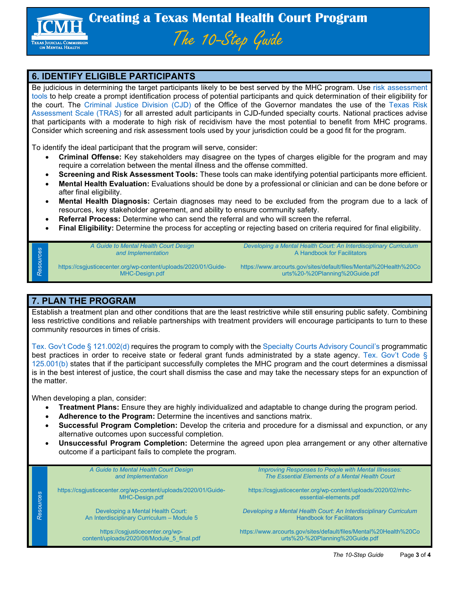

### **6. IDENTIFY ELIGIBLE PARTICIPANTS**

Be judicious in determining the target participants likely to be best served by the MHC program. Use [risk assessment](https://www.law.com/legaltechnews/2020/07/13/the-most-widely-used-risk-assessment-tool-in-each-u-s-state/?slreturn=20220305104416)  [tools](https://www.law.com/legaltechnews/2020/07/13/the-most-widely-used-risk-assessment-tool-in-each-u-s-state/?slreturn=20220305104416) to help create a prompt identification process of potential participants and quick determination of their eligibility for the court. The [Criminal Justice Division \(CJD\)](https://capitol.texas.gov/tlodocs/85R/handouts/C3942018080710001/a3576353-02b2-4cfb-8e30-d76abcdb34a4.PDF) of the Office of the Governor mandates the use of the [Texas Risk](http://www.cmitonline.org/_documents/publications/screening_2_2017.pdf)  [Assessment Scale \(TRAS\)](http://www.cmitonline.org/_documents/publications/screening_2_2017.pdf) for all arrested adult participants in CJD-funded specialty courts. National practices advise that participants with a moderate to high risk of recidivism have the most potential to benefit from MHC programs. Consider which screening and risk assessment tools used by your jurisdiction could be a good fit for the program.

To identify the ideal participant that the program will serve, consider:

- **Criminal Offense:** Key stakeholders may disagree on the types of charges eligible for the program and may require a correlation between the mental illness and the offense committed.
- **Screening and Risk Assessment Tools:** These tools can make identifying potential participants more efficient.
- **Mental Health Evaluation:** Evaluations should be done by a professional or clinician and can be done before or after final eligibility.
- **Mental Health Diagnosis:** Certain diagnoses may need to be excluded from the program due to a lack of resources, key stakeholder agreement, and ability to ensure community safety.
- **Referral Process:** Determine who can send the referral and who will screen the referral.
- **Final Eligibility:** Determine the process for accepting or rejecting based on criteria required for final eligibility.

*[A Guide to Mental Health Court Design](https://csgjusticecenter.org/wp-content/uploads/2020/01/Guide-MHC-Design.pdf)  [and Implementation](https://csgjusticecenter.org/wp-content/uploads/2020/01/Guide-MHC-Design.pdf)*

*[Developing a Mental Health Court: An Interdisciplinary Curriculum](https://www.arcourts.gov/sites/default/files/Mental%20Health%20Courts%20-%20Planning%20Guide.pdf)* [A Handbook for Facilitators](https://www.arcourts.gov/sites/default/files/Mental%20Health%20Courts%20-%20Planning%20Guide.pdf)

https://csgjusticecenter.org/wp-content/uploads/2020/01/Guide-MHC-Design.pdf

https://www.arcourts.gov/sites/default/files/Mental%20Health%20Co urts%20-%20Planning%20Guide.pdf

#### **7. PLAN THE PROGRAM**

*Resources*

Resources

*Resources*

Resources

Establish a treatment plan and other conditions that are the least restrictive while still ensuring public safety. Combining less restrictive conditions and reliable partnerships with treatment providers will encourage participants to turn to these community resources in times of crisis.

Tex. Gov't Code § [121.002\(d\)](https://statutes.capitol.texas.gov/Docs/GV/htm/GV.121.htm) requires the program to comply with th[e Specialty Courts Advisory Council's](https://statutes.capitol.texas.gov/Docs/GV/htm/GV.772.htm#772.0061) programmatic best practices in order to receive state or federal grant funds administrated by a state agency. [Tex. Gov't Code §](https://statutes.capitol.texas.gov/Docs/GV/htm/GV.125.htm#:%7E:text=GOVERNMENT%20CODE%20CHAPTER%20125.,MENTAL%20HEALTH%20COURT%20PROGRAMS&text=(9)%20development%20of%20partnerships%20with,including%20local%20mental%20retardation%20authorities.)  [125.001\(b\)](https://statutes.capitol.texas.gov/Docs/GV/htm/GV.125.htm#:%7E:text=GOVERNMENT%20CODE%20CHAPTER%20125.,MENTAL%20HEALTH%20COURT%20PROGRAMS&text=(9)%20development%20of%20partnerships%20with,including%20local%20mental%20retardation%20authorities.) states that if the participant successfully completes the MHC program and the court determines a dismissal is in the best interest of justice, the court shall dismiss the case and may take the necessary steps for an expunction of the matter.

When developing a plan, consider:

- **Treatment Plans:** Ensure they are highly individualized and adaptable to change during the program period.
- **Adherence to the Program:** Determine the incentives and sanctions matrix.
- **Successful Program Completion:** Develop the criteria and procedure for a dismissal and expunction, or any alternative outcomes upon successful completion.
- **Unsuccessful Program Completion:** Determine the agreed upon plea arrangement or any other alternative outcome if a participant fails to complete the program.

*[A Guide to Mental Health Court Design](https://csgjusticecenter.org/wp-content/uploads/2020/01/Guide-MHC-Design.pdf)  [and Implementation](https://csgjusticecenter.org/wp-content/uploads/2020/01/Guide-MHC-Design.pdf)*

https://csgjusticecenter.org/wp-content/uploads/2020/01/Guide-MHC-Design.pdf

> [Developing a Mental Health Court:](https://csgjusticecenter.org/wp-content/uploads/2020/08/Module_5_final.pdf)  [An Interdisciplinary Curriculum –](https://csgjusticecenter.org/wp-content/uploads/2020/08/Module_5_final.pdf) Module 5

https://csgjusticecenter.org/wpcontent/uploads/2020/08/Module\_5\_final.pdf *[Improving Responses to People with Mental Illnesses:](https://csgjusticecenter.org/wp-content/uploads/2020/02/mhc-essential-elements.pdf)  [The Essential Elements of a Mental Health Court](https://csgjusticecenter.org/wp-content/uploads/2020/02/mhc-essential-elements.pdf)*

https://csgjusticecenter.org/wp-content/uploads/2020/02/mhcessential-elements.pdf

*[Developing a Mental Health Court: An Interdisciplinary Curriculum](https://www.arcourts.gov/sites/default/files/Mental%20Health%20Courts%20-%20Planning%20Guide.pdf)* [Handbook for Facilitators](https://www.arcourts.gov/sites/default/files/Mental%20Health%20Courts%20-%20Planning%20Guide.pdf)

https://www.arcourts.gov/sites/default/files/Mental%20Health%20Co urts%20-%20Planning%20Guide.pdf